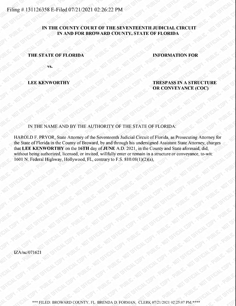## IN THE COUNTY COURT OF THE SEVENTEENTH JUDICIAL CIRCUIT IN AND FOR BROWARD COUNTY, STATE OF FLORIDA

## THE STATE OF FLORIDA INFORMATION FOR

VS.

LEE KENWORTHY TRESPASS IN A STRUCTURE OR CONVEYANCE (COC)

IN THE NAME AND BY THE AUTHORITY OF THE STATE OF FLORIDA:

HAROLD F. PRYOR, State Attorney of the Seventeenth Judicial Circuit of Florida, as Prosecuting Attorney for the State of Florida in the County of Broward, by and through his undersigned Assistant State Attorney, charges that LEE KENWORTHY on the 16TH day of JUNE A.D. 2021, in the County and State aforesaid, did, without being authorized, licensed, or invited, willfully enter or remain in a structure or conveyance, to-wit: 1601 N. Federal Highway, Hollywood, FL, contraryto F.S. 810.08(1)(2)(a),

IZA/nc/071621